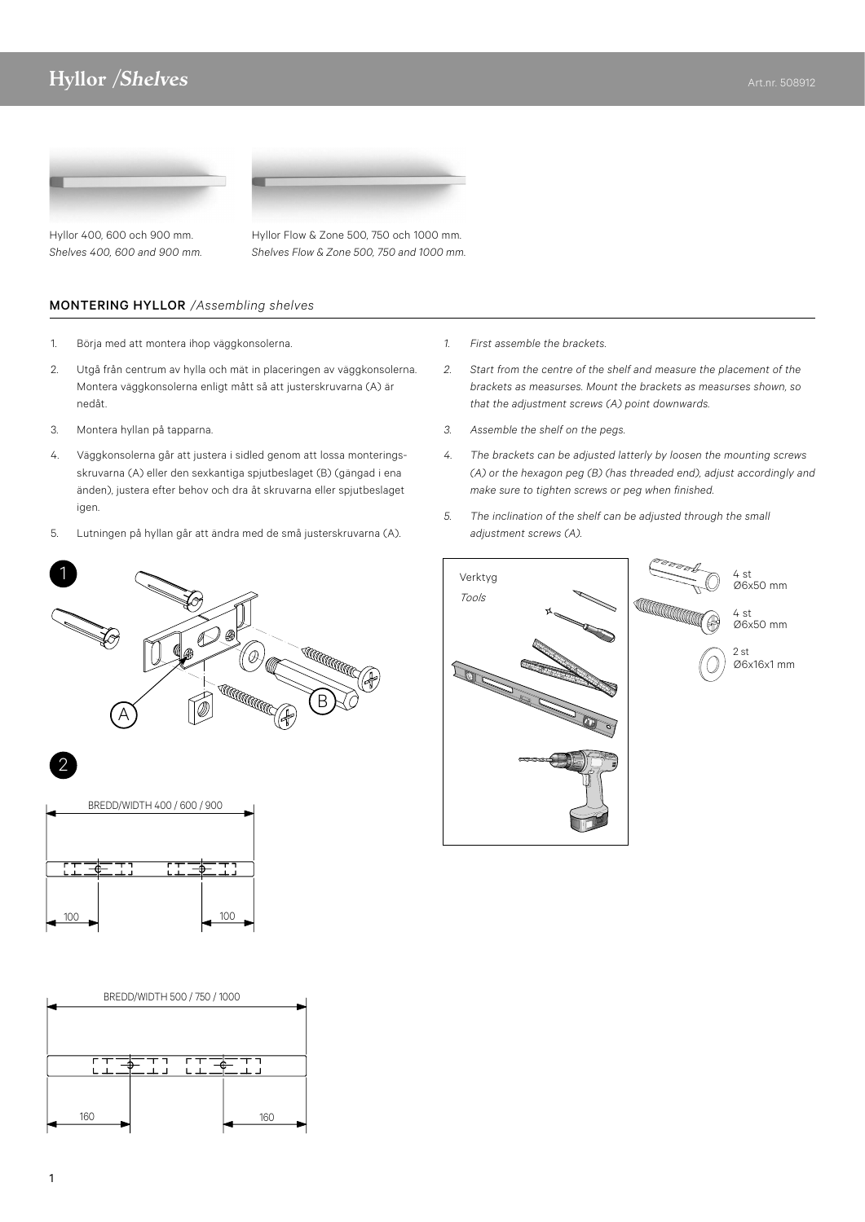## المسابق المسابق المسابق المسابق المسابق المسابق المسابق المسابق المسابق المسابق المسابق المسابق المسابق المسابق<br>والمسابق المسابق المسابق المسابق المسابق المسابق المسابق المسابق المسابق المسابق المسابق المسابق المسابق المس

MORNING HALOGEN-RAMP/ <sup>B</sup> ROOF

1520



1190

Hyllor 400, 600 och 900 mm. *Shelves 400, 600 and 900 mm.*  Hyllor Flow & Zone 500, 750 och 1000 mm. *Shelves Flow & Zone 500, 750 and 1000 mm.*

1500

1510

SHELF MORNING HYLLA/SHELF MORNING HYLLA/SHELF MORNING HYLLA/SHELF

## MONTERING HYLLOR */Assembling shelves*

- 1. Börja med att montera ihop väggkonsolerna.
- 2. Utgå från centrum av hylla och mät in placeringen av väggkonsolerna. Montera väggkonsolerna enligt mått så att justerskruvarna (A) är nedåt.

595

- 3. Montera hyllan på tapparna.
- 4. Väggkonsolerna går att justera i sidled genom att lossa monteringsskruvarna (A) eller den sexkantiga spjutbeslaget (B) (gängad i ena änden), justera efter behov och dra åt skruvarna eller spjutbeslaget igen.
- 5. Lutningen på hyllan går att ändra med de små justerskruvarna (A).







- *1. First assemble the brackets.*
- *2. Start from the centre of the shelf and measure the placement of the brackets as measurses. Mount the brackets as measurses shown, so that the adjustment screws (A) point downwards.*

1200 600

- *3. Assemble the shelf on the pegs.*
- *4. The brackets can be adjusted latterly by loosen the mounting screws (A) or the hexagon peg (B) (has threaded end), adjust accordingly and make sure to tighten screws or peg when finished.*
- *5. The inclination of the shelf can be adjusted through the small adjustment screws (A).*



2